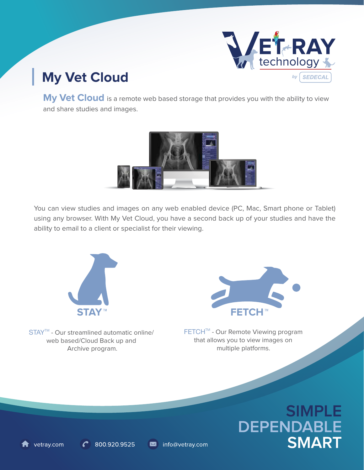

## **My Vet Cloud**

**My Vet Cloud** is a remote web based storage that provides you with the ability to view and share studies and images.



You can view studies and images on any web enabled device (PC, Mac, Smart phone or Tablet) using any browser. With My Vet Cloud, you have a second back up of your studies and have the ability to email to a client or specialist for their viewing.

info@vetray.com



STAY<sup>™</sup> - Our streamlined automatic online/ web based/Cloud Back up and Archive program.

800.920.9525

vetray.com



FETCH™ - Our Remote Viewing program that allows you to view images on multiple platforms.

# **SIMPLE DEPENDABLE SMART**